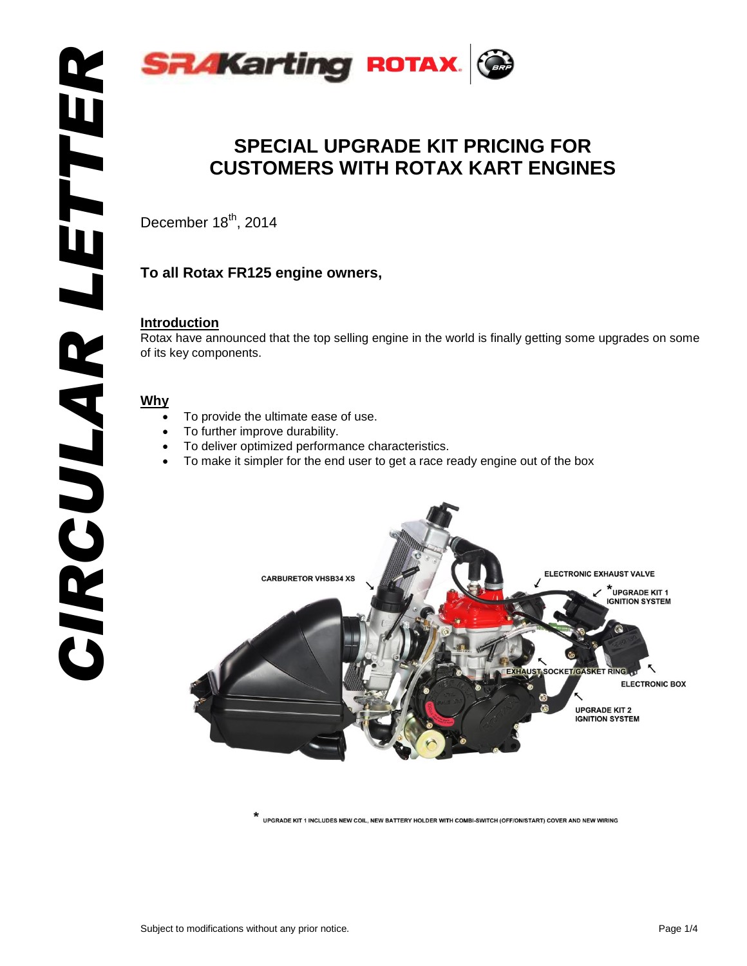

# **SPECIAL UPGRADE KIT PRICING FOR CUSTOMERS WITH ROTAX KART ENGINES**

December 18<sup>th</sup>, 2014

# **To all Rotax FR125 engine owners,**

#### **Introduction**

Rotax have announced that the top selling engine in the world is finally getting some upgrades on some of its key components.

## **Why**

- To provide the ultimate ease of use.
- To further improve durability.
- To deliver optimized performance characteristics.
- To make it simpler for the end user to get a race ready engine out of the box



UPGRADE KIT 1 INCLUDES NEW COIL. NEW BATTERY HOLDER WITH COMBI-SWITCH (OFF/ON/START) COVER AND NEW WIRING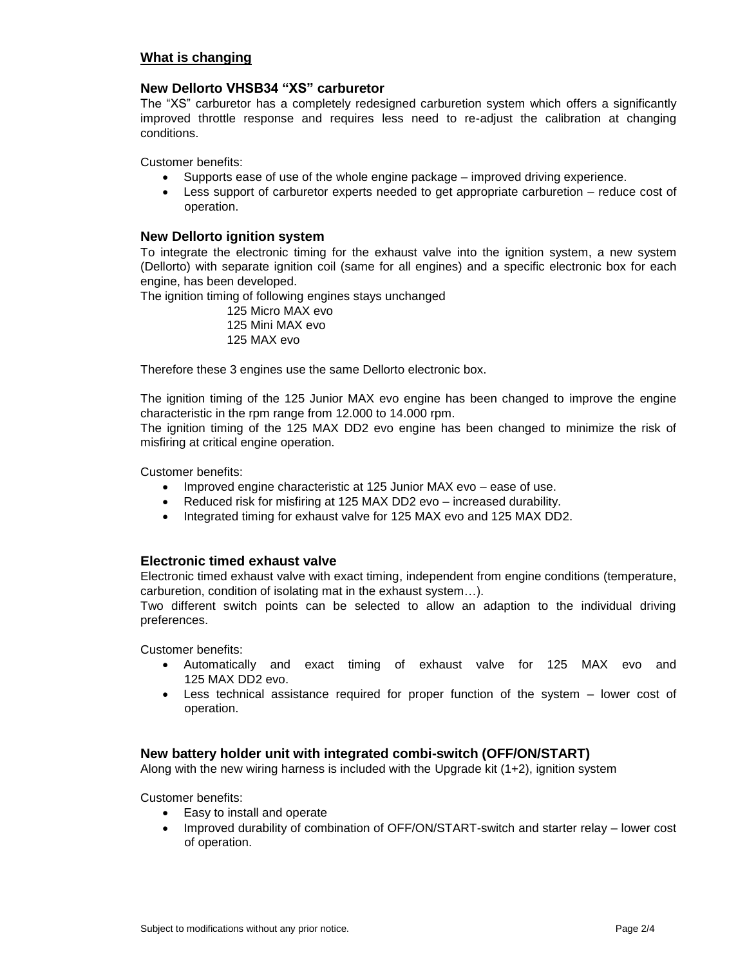#### **What is changing**

#### **New Dellorto VHSB34 "XS" carburetor**

The "XS" carburetor has a completely redesigned carburetion system which offers a significantly improved throttle response and requires less need to re-adjust the calibration at changing conditions.

Customer benefits:

- Supports ease of use of the whole engine package improved driving experience.
- Less support of carburetor experts needed to get appropriate carburetion reduce cost of operation.

#### **New Dellorto ignition system**

To integrate the electronic timing for the exhaust valve into the ignition system, a new system (Dellorto) with separate ignition coil (same for all engines) and a specific electronic box for each engine, has been developed.

The ignition timing of following engines stays unchanged

 125 Micro MAX evo 125 Mini MAX evo 125 MAX evo

Therefore these 3 engines use the same Dellorto electronic box.

The ignition timing of the 125 Junior MAX evo engine has been changed to improve the engine characteristic in the rpm range from 12.000 to 14.000 rpm.

The ignition timing of the 125 MAX DD2 evo engine has been changed to minimize the risk of misfiring at critical engine operation.

Customer benefits:

- Improved engine characteristic at 125 Junior MAX evo ease of use.
- Reduced risk for misfiring at 125 MAX DD2 evo increased durability.
- Integrated timing for exhaust valve for 125 MAX evo and 125 MAX DD2.

#### **Electronic timed exhaust valve**

Electronic timed exhaust valve with exact timing, independent from engine conditions (temperature, carburetion, condition of isolating mat in the exhaust system…).

Two different switch points can be selected to allow an adaption to the individual driving preferences.

Customer benefits:

- Automatically and exact timing of exhaust valve for 125 MAX evo and 125 MAX DD2 evo.
- Less technical assistance required for proper function of the system lower cost of operation.

#### **New battery holder unit with integrated combi-switch (OFF/ON/START)**

Along with the new wiring harness is included with the Upgrade kit  $(1+2)$ , ignition system

Customer benefits:

- Easy to install and operate
- Improved durability of combination of OFF/ON/START-switch and starter relay lower cost of operation.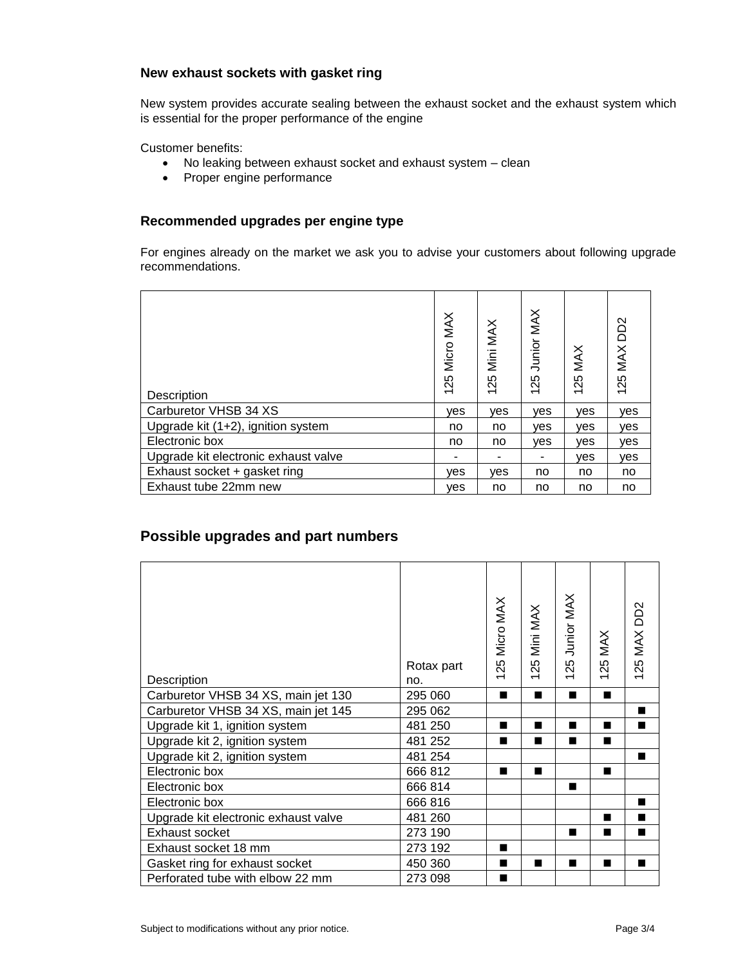#### **New exhaust sockets with gasket ring**

New system provides accurate sealing between the exhaust socket and the exhaust system which is essential for the proper performance of the engine

Customer benefits:

- No leaking between exhaust socket and exhaust system clean
- Proper engine performance

## **Recommended upgrades per engine type**

For engines already on the market we ask you to advise your customers about following upgrade recommendations.

| Description                          | MAX<br>Micro<br>125 | Mini MAX<br>125 | Junior MAX<br>125 | MAX<br>125 | MAX DD2<br>125 |
|--------------------------------------|---------------------|-----------------|-------------------|------------|----------------|
| Carburetor VHSB 34 XS                | ves                 | ves             | ves               | yes        | ves            |
| Upgrade kit (1+2), ignition system   | no                  | no              | ves               | ves        | ves            |
| Electronic box                       | no                  | no              | ves               | yes        | yes            |
| Upgrade kit electronic exhaust valve |                     |                 |                   | ves        | yes            |
| Exhaust socket + gasket ring         | ves                 | ves             | no                | no         | no             |
| Exhaust tube 22mm new                | ves                 | no              | no                | no         | no             |

# **Possible upgrades and part numbers**

| Description                          | Rotax part<br>no. | 25 Micro MAX<br>$\overline{\phantom{0}}$ | Mini MAX<br>25<br>$\overline{\phantom{0}}$ | 25 Junior MAX<br>$\overline{\phantom{0}}$ | <b>125 MAX</b><br>$\overline{\phantom{0}}$ | 125 MAX DD2 |
|--------------------------------------|-------------------|------------------------------------------|--------------------------------------------|-------------------------------------------|--------------------------------------------|-------------|
| Carburetor VHSB 34 XS, main jet 130  | 295 060           | ■                                        | ■                                          | п                                         | ▬                                          |             |
| Carburetor VHSB 34 XS, main jet 145  | 295 062           |                                          |                                            |                                           |                                            | п           |
| Upgrade kit 1, ignition system       | 481 250           | ٠                                        | ٠                                          | ш                                         | ٠                                          | п           |
| Upgrade kit 2, ignition system       | 481 252           | ٠                                        | ■                                          | ■                                         | ٠                                          |             |
| Upgrade kit 2, ignition system       | 481 254           |                                          |                                            |                                           |                                            |             |
| Electronic box                       | 666 812           | ▬                                        | ■                                          |                                           | ٠                                          |             |
| Electronic box                       | 666 814           |                                          |                                            | ■                                         |                                            |             |
| Electronic box                       | 666 816           |                                          |                                            |                                           |                                            | ■           |
| Upgrade kit electronic exhaust valve | 481 260           |                                          |                                            |                                           | ■                                          | ▬           |
| Exhaust socket                       | 273 190           |                                          |                                            | ■                                         | ▅                                          | ■           |
| Exhaust socket 18 mm                 | 273 192           | ■                                        |                                            |                                           |                                            |             |
| Gasket ring for exhaust socket       | 450 360           | ٠                                        | ▅                                          | ш                                         | ■                                          | ш           |
| Perforated tube with elbow 22 mm     | 273 098           | ٠                                        |                                            |                                           |                                            |             |